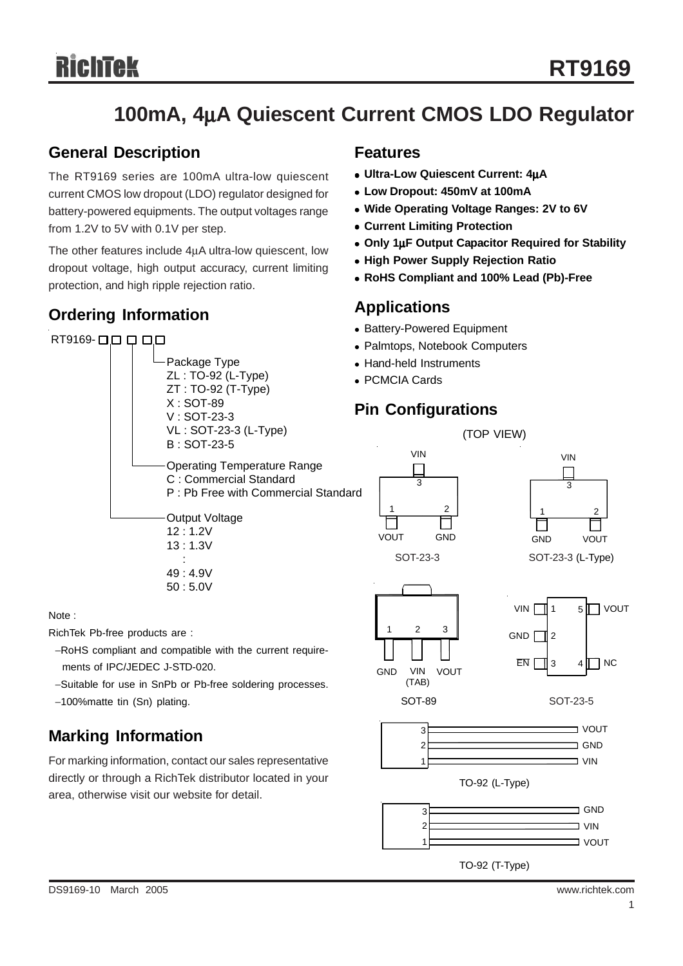# **100mA, 4**μ**A Quiescent Current CMOS LDO Regulator**

#### **General Description**

The RT9169 series are 100mA ultra-low quiescent current CMOS low dropout (LDO) regulator designed for battery-powered equipments. The output voltages range from 1.2V to 5V with 0.1V per step.

The other features include 4μA ultra-low quiescent, low dropout voltage, high output accuracy, current limiting protection, and high ripple rejection ratio.

### **Ordering Information**



Note :

RichTek Pb-free products are :

- −RoHS compliant and compatible with the current require ments of IPC/JEDEC J-STD-020.
- −Suitable for use in SnPb or Pb-free soldering processes.
- −100%matte tin (Sn) plating.

### **Marking Information**

For marking information, contact our sales representative directly or through a RichTek distributor located in your area, otherwise visit our website for detail.

#### **Features**

- <sup>z</sup> **Ultra-Low Quiescent Current: 4**μ**A**
- <sup>z</sup> **Low Dropout: 450mV at 100mA**
- <sup>z</sup> **Wide Operating Voltage Ranges: 2V to 6V**
- **Current Limiting Protection**
- <sup>z</sup> **Only 1**μ**F Output Capacitor Required for Stability**
- **High Power Supply Rejection Ratio**
- <sup>z</sup> **RoHS Compliant and 100% Lead (Pb)-Free**

#### **Applications**

- Battery-Powered Equipment
- Palmtops, Notebook Computers
- Hand-held Instruments
- PCMCIA Cards

## **Pin Configurations**

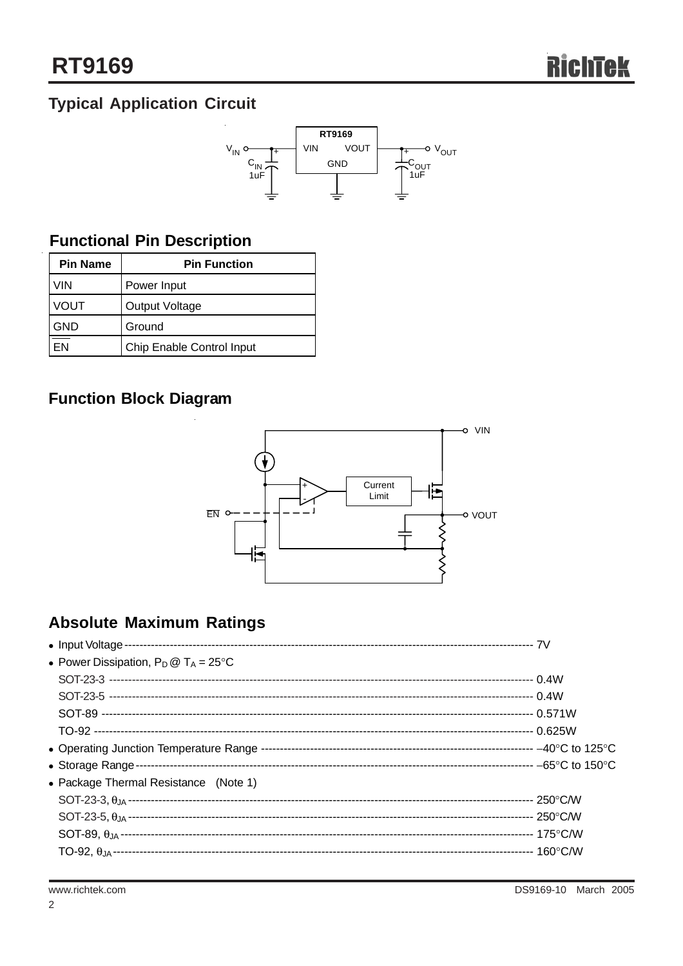# **Typical Application Circuit**



# **Functional Pin Description**

| <b>Pin Name</b> | <b>Pin Function</b>       |  |  |
|-----------------|---------------------------|--|--|
| VIN             | Power Input               |  |  |
| VOUT            | <b>Output Voltage</b>     |  |  |
| 3ND             | Ground                    |  |  |
|                 | Chip Enable Control Input |  |  |

# **Function Block Diagram**



# **Absolute Maximum Ratings**

| • Power Dissipation, $P_D @ T_A = 25^{\circ}C$ |  |
|------------------------------------------------|--|
|                                                |  |
|                                                |  |
|                                                |  |
|                                                |  |
|                                                |  |
|                                                |  |
| • Package Thermal Resistance (Note 1)          |  |
|                                                |  |
|                                                |  |
|                                                |  |
|                                                |  |
|                                                |  |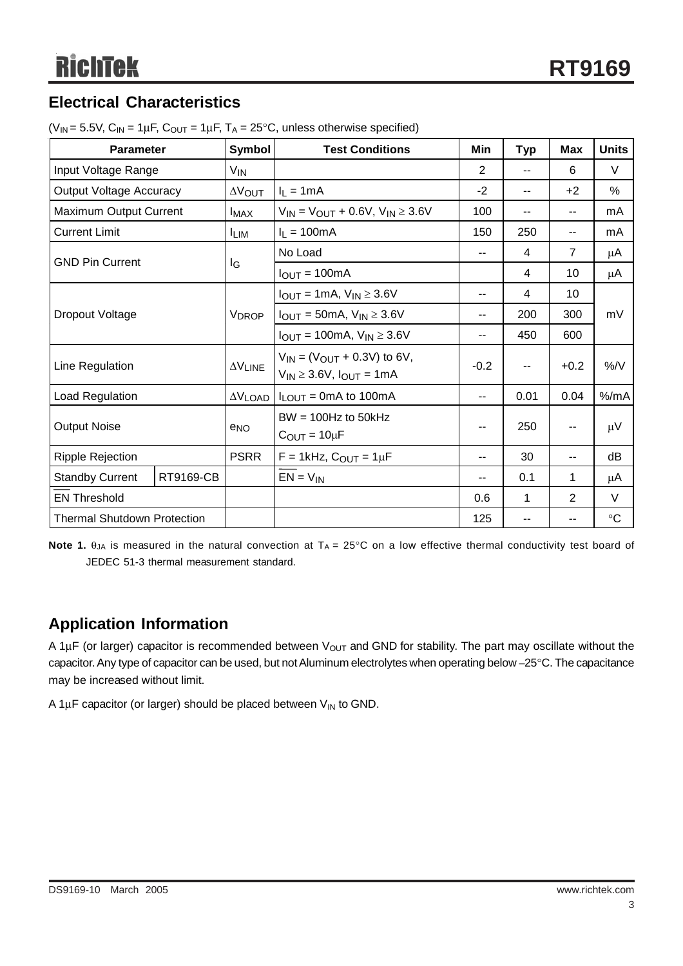## **Electrical Characteristics**

| <b>Parameter</b>                   |           | Symbol                      | <b>Test Conditions</b>                                                     | Min            | <b>Typ</b> | <b>Max</b>               | <b>Units</b>    |
|------------------------------------|-----------|-----------------------------|----------------------------------------------------------------------------|----------------|------------|--------------------------|-----------------|
| Input Voltage Range                |           | V <sub>IN</sub>             |                                                                            | $\overline{2}$ | --         | 6                        | $\vee$          |
| <b>Output Voltage Accuracy</b>     |           | $\Delta V_{\text{OUT}}$     | $I_L = 1mA$                                                                | $-2$           | --         | $+2$                     | $\%$            |
| Maximum Output Current             |           | $I_{MAX}$                   | $V_{IN} = V_{OUT} + 0.6V, V_{IN} \ge 3.6V$                                 | 100            | --         | $-$                      | mA              |
| <b>Current Limit</b>               |           | <b>LIM</b>                  | $I_L = 100mA$                                                              | 150            | 250        | $-$                      | mA              |
| <b>GND Pin Current</b>             |           |                             | No Load                                                                    | --             | 4          | $\overline{7}$           | μA              |
|                                    |           | lg                          | $I_{OUT} = 100mA$                                                          |                | 4          | 10                       | μA              |
|                                    |           |                             | $I_{OUT} = 1mA$ , $V_{IN} \ge 3.6V$                                        | --             | 4          | 10                       | mV              |
| Dropout Voltage                    |           | <b>VDROP</b>                | $I_{OUT} = 50mA$ , $V_{IN} \ge 3.6V$                                       | --             | 200        | 300                      |                 |
|                                    |           |                             | $I_{OUT} = 100mA$ , $V_{IN} \ge 3.6V$                                      | --             | 450        | 600                      |                 |
| Line Regulation                    |           | $\Delta \rm{V}_{\rm{LINE}}$ | $V_{IN} = (V_{OUT} + 0.3V)$ to 6V,<br>$V_{IN} \geq 3.6V$ , $I_{OUT} = 1mA$ | $-0.2$         | --         | $+0.2$                   | %N              |
| Load Regulation                    |           | $\Delta V$ LOAD             | $I_{LOUT}$ = 0mA to 100mA                                                  | --             | 0.01       | 0.04                     | $%$ /mA         |
| <b>Output Noise</b>                |           | $e_{NO}$                    | $BW = 100Hz$ to 50kHz<br>$C_{\text{OUT}} = 10 \mu F$                       | --             | 250        | $\overline{\phantom{a}}$ | μV              |
| <b>Ripple Rejection</b>            |           | <b>PSRR</b>                 | $F = 1$ kHz, $C_{OUT} = 1 \mu F$                                           | --             | 30         | $-$                      | dB              |
| <b>Standby Current</b>             | RT9169-CB |                             | $EN = V_{IN}$                                                              | --             | 0.1        | 1                        | μA              |
| <b>EN Threshold</b>                |           |                             |                                                                            | 0.6            | 1          | $\overline{2}$           | V               |
| <b>Thermal Shutdown Protection</b> |           |                             |                                                                            | 125            |            |                          | $\rm ^{\circ}C$ |

( $V_{IN}$  = 5.5V,  $C_{IN}$  = 1 $\mu$ F,  $C_{OUT}$  = 1 $\mu$ F, T<sub>A</sub> = 25°C, unless otherwise specified)

**Note 1.**  $\theta_{JA}$  is measured in the natural convection at  $T_A = 25^\circ \text{C}$  on a low effective thermal conductivity test board of JEDEC 51-3 thermal measurement standard.

### **Application Information**

A 1 $\mu$ F (or larger) capacitor is recommended between V<sub>OUT</sub> and GND for stability. The part may oscillate without the capacitor. Any type of capacitor can be used, but not Aluminum electrolytes when operating below –25°C. The capacitance may be increased without limit.

A 1 $\mu$ F capacitor (or larger) should be placed between  $V_{IN}$  to GND.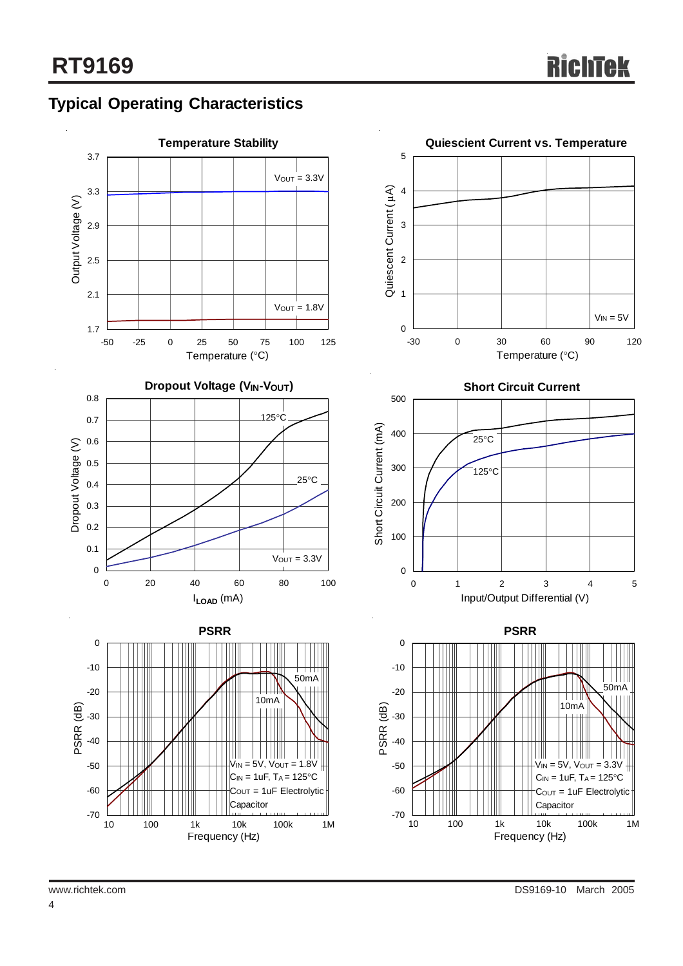# **Typical Operating Characteristics**

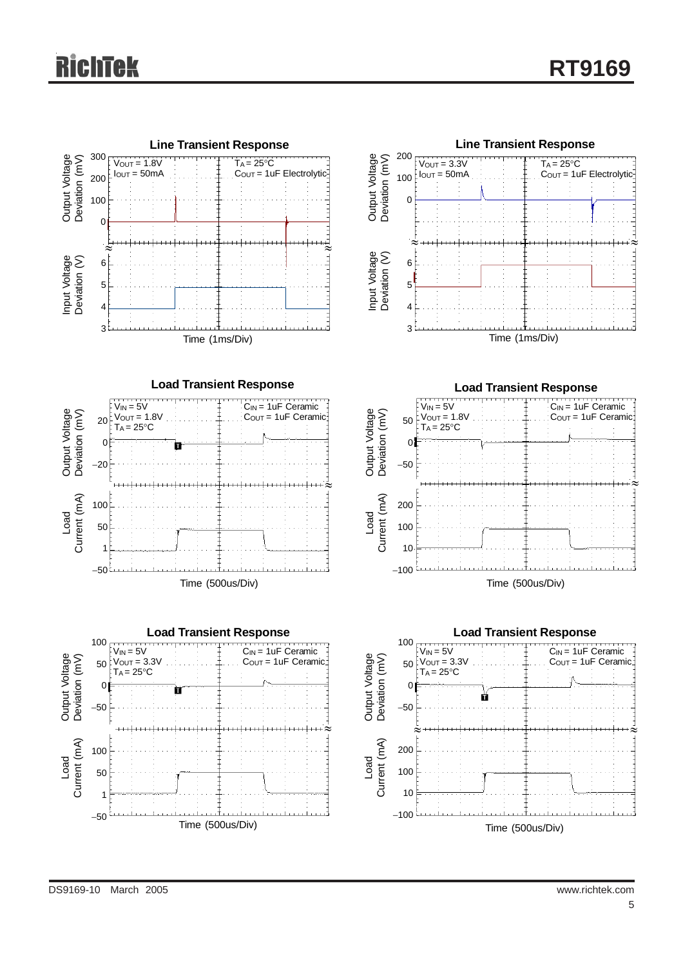

**Load Transient Response**





**Line Transient Response** Output Voltage<br>Deviation (mV) 200  $T_A = 25^{\circ}$ C Output Voltage Deviation (mV)  $V_{\text{OUT}} = 3.3V$  $\frac{1}{1}$ Iout = 50mA COUT = 1uF Electrolytic 100  $\mathcal{C}_{\mathcal{C}}$ ≈<del>™™™™™™™™™™™™™™™</del>≈ Input Voltage<br>Deviation (V) Input Voltage Deviation (V) 6 5 4 3 Time (1ms/Div)



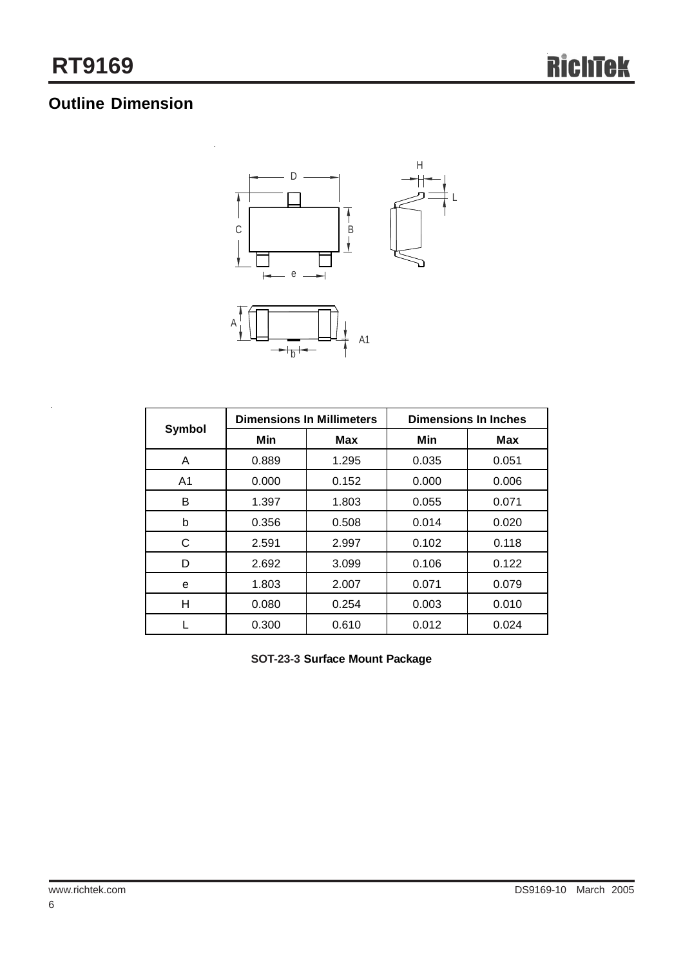# **Outline Dimension**



|                | <b>Dimensions In Millimeters</b> |       | <b>Dimensions In Inches</b> |            |
|----------------|----------------------------------|-------|-----------------------------|------------|
| <b>Symbol</b>  | Min                              | Max   | Min                         | <b>Max</b> |
| A              | 0.889                            | 1.295 | 0.035                       | 0.051      |
| A <sub>1</sub> | 0.000                            | 0.152 | 0.000                       | 0.006      |
| в              | 1.397                            | 1.803 | 0.055                       | 0.071      |
| b              | 0.356                            | 0.508 | 0.014                       | 0.020      |
| С              | 2.591                            | 2.997 | 0.102                       | 0.118      |
| D              | 2.692                            | 3.099 | 0.106                       | 0.122      |
| е              | 1.803                            | 2.007 | 0.071                       | 0.079      |
| Н              | 0.080                            | 0.254 | 0.003                       | 0.010      |
|                | 0.300                            | 0.610 | 0.012                       | 0.024      |

**SOT-23-3 Surface Mount Package**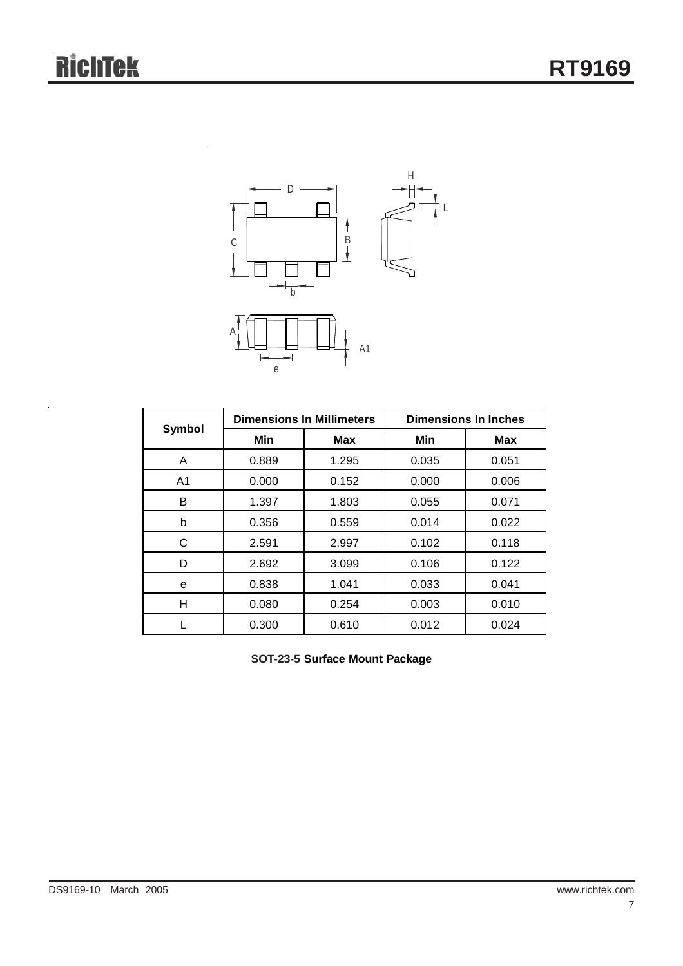

|                | <b>Dimensions In Millimeters</b> |            | <b>Dimensions In Inches</b> |            |
|----------------|----------------------------------|------------|-----------------------------|------------|
| Symbol         | Min                              | <b>Max</b> | Min                         | <b>Max</b> |
| A              | 0.889                            | 1.295      | 0.035                       | 0.051      |
| A <sub>1</sub> | 0.000                            | 0.152      | 0.000                       | 0.006      |
| B              | 1.397                            | 1.803      | 0.055                       | 0.071      |
| b              | 0.356                            | 0.559      | 0.014                       | 0.022      |
| C              | 2.591                            | 2.997      | 0.102                       | 0.118      |
| D              | 2.692                            | 3.099      | 0.106                       | 0.122      |
| е              | 0.838                            | 1.041      | 0.033                       | 0.041      |
| н              | 0.080                            | 0.254      | 0.003                       | 0.010      |
|                | 0.300                            | 0.610      | 0.012                       | 0.024      |

**SOT-23-5 Surface Mount Package**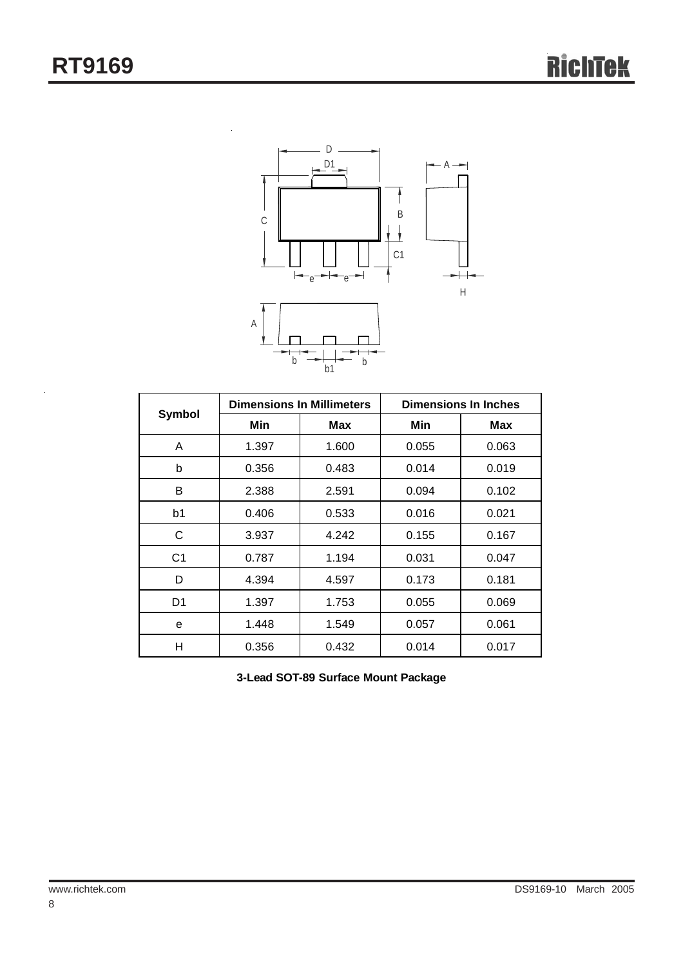

|                | <b>Dimensions In Millimeters</b> |       | <b>Dimensions In Inches</b> |       |
|----------------|----------------------------------|-------|-----------------------------|-------|
| <b>Symbol</b>  | Min                              | Max   | Min                         | Max   |
| A              | 1.397                            | 1.600 | 0.055                       | 0.063 |
| b              | 0.356                            | 0.483 | 0.014                       | 0.019 |
| B              | 2.388                            | 2.591 | 0.094                       | 0.102 |
| b1             | 0.406                            | 0.533 | 0.016                       | 0.021 |
| C              | 3.937                            | 4.242 | 0.155                       | 0.167 |
| C <sub>1</sub> | 0.787                            | 1.194 | 0.031                       | 0.047 |
| D              | 4.394                            | 4.597 | 0.173                       | 0.181 |
| D1             | 1.397                            | 1.753 | 0.055                       | 0.069 |
| e              | 1.448                            | 1.549 | 0.057                       | 0.061 |
| н              | 0.356                            | 0.432 | 0.014                       | 0.017 |

**3-Lead SOT-89 Surface Mount Package**